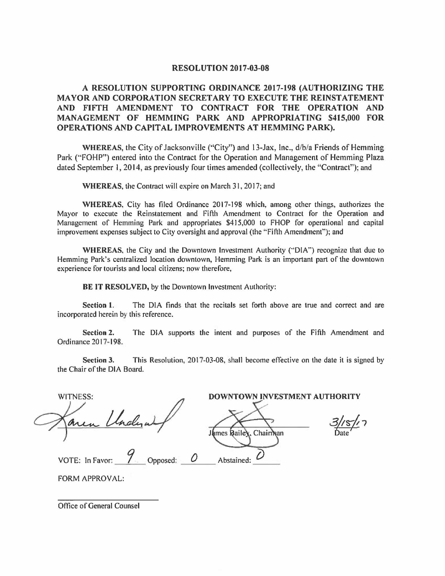## **RESOLUTION 2017-03-08**

# **A RESOLUTION SUPPORTING ORDINANCE 2017-198 (AUTHORIZING THE MAYOR AND CORPORATION SECRETARY TO EXECUTE THE REINSTATEMENT AND FIFTH AMENDMENT TO CONTRACT FOR THE OPERATION AND MANAGEMENT OF HEMMING PARK AND APPROPRIATING \$415,000 FOR OPERATIONS AND CAPITAL IMPROVEMENTS AT HEMMING PARK).**

**WHEREAS,** the City of Jacksonville ('"City") and 13-Jax, Inc., d/b/a Friends of Hemming Park ("FOHP") entered into the Contract for the Operation and Management of Hemming Plaza dated September I, 2014, as previously four times amended (collectively, the "Contract"); and

**WHEREAS,** the Contract will expire on March 31, 2017; and

**WHEREAS,** City has filed Ordinance 2017-198 which, among other things. authorizes the Mayor to execute the Reinstatement and Fifth Amendment to Contract for the Operation and Management of Hemming Park and appropriates \$415,000 to FHOP for operational and capital improvement expenses subject to City oversight and approval (the "Fifth Amendment"); and

**WHEREAS,** the City and the Downtown Investment Authority ("'DIA") recognize that due to Hemming Park's centralized location downtown, Hemming Park is an important part of the downtown experience for tourists and local citizens; now therefore,

**BE IT RESOLVED,** by the Downtown Investment Authority:

Section **1.** The DIA finds that the recitals set forth above are true and correct and are incorporated herein by this reference.

**Section 2.** The DIA supports the intent and purposes of the Fifth Amendment and Ordinance 20 17-198.

**Section 3.** This Resolution, 2017-03-08, shall become effective on the date it is signed by the Chair of the DIA Board.

WITNESS: DOWNTOWN INVESTMENT AUTHORITY<br>
James Bailey, Chairman Date 3/15/17 ate VOTE: In Favor: *\_ \_\_ 9 \_\_* Opposed: *\_\_* **0 \_\_** Abstained: *\_0 \_\_* 

FORM APPROVAL:

Office of General Counsel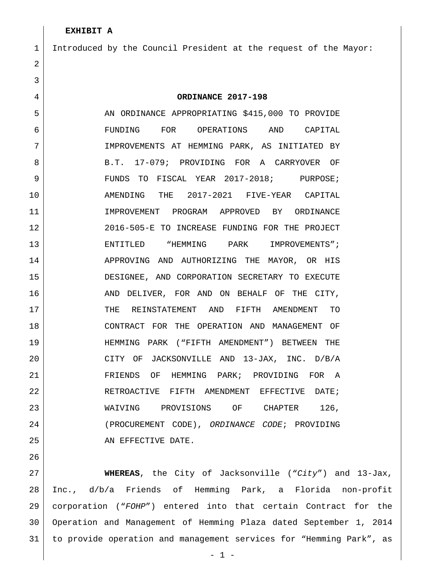### Introduced by the Council President at the request of the Mayor:

 **ORDINANCE 2017-198** 5 AN ORDINANCE APPROPRIATING \$415,000 TO PROVIDE FUNDING FOR OPERATIONS AND CAPITAL IMPROVEMENTS AT HEMMING PARK, AS INITIATED BY 8 B.T. 17-079; PROVIDING FOR A CARRYOVER OF 9 FUNDS TO FISCAL YEAR 2017-2018; PURPOSE; AMENDING THE 2017-2021 FIVE-YEAR CAPITAL 11 | IMPROVEMENT PROGRAM APPROVED BY ORDINANCE 2016-505-E TO INCREASE FUNDING FOR THE PROJECT 13 ENTITLED "HEMMING PARK IMPROVEMENTS"; 14 APPROVING AND AUTHORIZING THE MAYOR, OR HIS DESIGNEE, AND CORPORATION SECRETARY TO EXECUTE 16 AND DELIVER, FOR AND ON BEHALF OF THE CITY, 17 THE REINSTATEMENT AND FIFTH AMENDMENT TO CONTRACT FOR THE OPERATION AND MANAGEMENT OF HEMMING PARK ("FIFTH AMENDMENT") BETWEEN THE CITY OF JACKSONVILLE AND 13-JAX, INC. D/B/A FRIENDS OF HEMMING PARK; PROVIDING FOR A RETROACTIVE FIFTH AMENDMENT EFFECTIVE DATE; 23 WAIVING PROVISIONS OF CHAPTER 126, (PROCUREMENT CODE), *ORDINANCE CODE*; PROVIDING 25 AN EFFECTIVE DATE.

 **WHEREAS**, the City of Jacksonville ("*City*") and 13-Jax, Inc., d/b/a Friends of Hemming Park, a Florida non-profit corporation ("*FOHP*") entered into that certain Contract for the Operation and Management of Hemming Plaza dated September 1, 2014 to provide operation and management services for "Hemming Park", as

- 1 -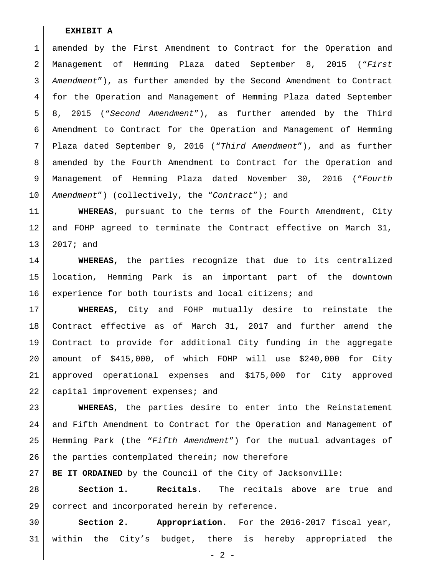1 amended by the First Amendment to Contract for the Operation and Management of Hemming Plaza dated September 8, 2015 ("*First Amendment*"), as further amended by the Second Amendment to Contract for the Operation and Management of Hemming Plaza dated September 8, 2015 ("*Second Amendment*"), as further amended by the Third Amendment to Contract for the Operation and Management of Hemming Plaza dated September 9, 2016 ("*Third Amendment*"), and as further amended by the Fourth Amendment to Contract for the Operation and Management of Hemming Plaza dated November 30, 2016 ("*Fourth Amendment*") (collectively, the "*Contract*"); and

 **WHEREAS**, pursuant to the terms of the Fourth Amendment, City and FOHP agreed to terminate the Contract effective on March 31, 2017; and

 **WHEREAS,** the parties recognize that due to its centralized location, Hemming Park is an important part of the downtown 16 experience for both tourists and local citizens; and

 **WHEREAS,** City and FOHP mutually desire to reinstate the Contract effective as of March 31, 2017 and further amend the Contract to provide for additional City funding in the aggregate amount of \$415,000, of which FOHP will use \$240,000 for City approved operational expenses and \$175,000 for City approved 22 capital improvement expenses; and

 **WHEREAS**, the parties desire to enter into the Reinstatement and Fifth Amendment to Contract for the Operation and Management of Hemming Park (the "*Fifth Amendment*") for the mutual advantages of 26 the parties contemplated therein; now therefore

**BE IT ORDAINED** by the Council of the City of Jacksonville:

 **Section 1. Recitals.** The recitals above are true and correct and incorporated herein by reference.

 **Section 2. Appropriation.** For the 2016-2017 fiscal year, within the City's budget, there is hereby appropriated the

- 2 -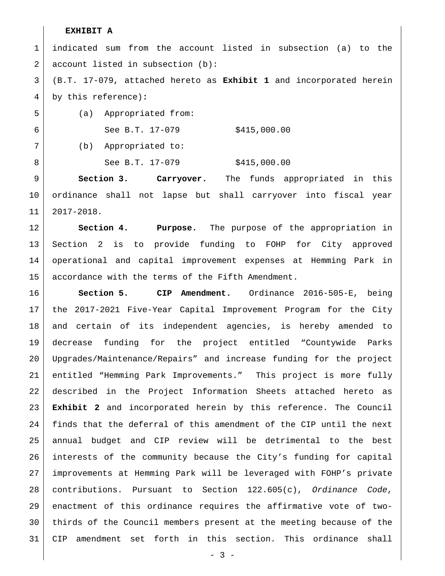indicated sum from the account listed in subsection (a) to the account listed in subsection (b):

 (B.T. 17-079, attached hereto as **Exhibit 1** and incorporated herein by this reference)**:**

(a) Appropriated from:

6 See B.T. 17-079 \$415,000.00

(b) Appropriated to:

8 See B.T. 17-079 \$415,000.00

 **Section 3. Carryover.** The funds appropriated in this ordinance shall not lapse but shall carryover into fiscal year 2017-2018.

 **Section 4. Purpose.** The purpose of the appropriation in Section 2 is to provide funding to FOHP for City approved operational and capital improvement expenses at Hemming Park in 15 accordance with the terms of the Fifth Amendment.

 **Section 5. CIP Amendment.** Ordinance 2016-505-E, being the 2017-2021 Five-Year Capital Improvement Program for the City and certain of its independent agencies, is hereby amended to decrease funding for the project entitled "Countywide Parks Upgrades/Maintenance/Repairs" and increase funding for the project entitled "Hemming Park Improvements." This project is more fully described in the Project Information Sheets attached hereto as **Exhibit 2** and incorporated herein by this reference. The Council finds that the deferral of this amendment of the CIP until the next annual budget and CIP review will be detrimental to the best interests of the community because the City's funding for capital improvements at Hemming Park will be leveraged with FOHP's private contributions. Pursuant to Section 122.605(c), *Ordinance Code*, enactment of this ordinance requires the affirmative vote of two- thirds of the Council members present at the meeting because of the CIP amendment set forth in this section. This ordinance shall